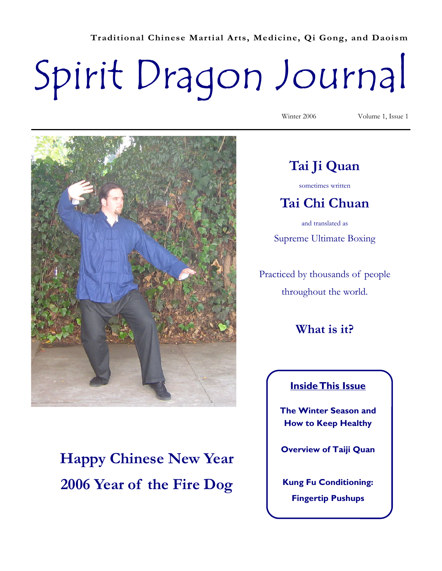**Traditional Chinese Martial Arts, Medicine, Qi Gong, and Daoism** 

# Spirit Dragon Journal



**Happy Chinese New Year 2006 Year of the Fire Dog** 

Winter 2006 Volume 1, Issue 1

# **Tai Ji Quan**

sometimes written

# **Tai Chi Chuan**

and translated as Supreme Ultimate Boxing

Practiced by thousands of people throughout the world.

**What is it?** 

#### **Inside This Issue**

**The Winter Season and How to Keep Healthy** 

**Overview of Taiji Quan** 

**Kung Fu Conditioning: Fingertip Pushups**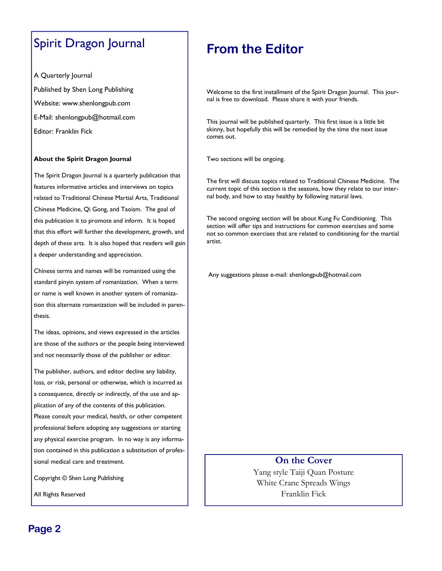## Spirit Dragon Journal

A Quarterly Journal

Published by Shen Long Publishing

Website: www.shenlongpub.com

E-Mail: shenlongpub@hotmail.com

Editor: Franklin Fick

#### **About the Spirit Dragon Journal**

The Spirit Dragon Journal is a quarterly publication that features informative articles and interviews on topics related to Traditional Chinese Martial Arts, Traditional Chinese Medicine, Qi Gong, and Taoism. The goal of this publication it to promote and inform. It is hoped that this effort will further the development, growth, and depth of these arts. It is also hoped that readers will gain a deeper understanding and appreciation.

Chinese terms and names will be romanized using the standard pinyin system of romanization. When a term or name is well known in another system of romanization this alternate romanization will be included in parenthesis.

The ideas, opinions, and views expressed in the articles are those of the authors or the people being interviewed and not necessarily those of the publisher or editor.

The publisher, authors, and editor decline any liability, loss, or risk, personal or otherwise, which is incurred as a consequence, directly or indirectly, of the use and application of any of the contents of this publication.

Please consult your medical, health, or other competent professional before adopting any suggestions or starting any physical exercise program. In no way is any information contained in this publication a substitution of professional medical care and treatment.

Copyright © Shen Long Publishing

All Rights Reserved

# **From the Editor**

Welcome to the first installment of the Spirit Dragon Journal. This journal is free to download. Please share it with your friends.

This journal will be published quarterly. This first issue is a little bit skinny, but hopefully this will be remedied by the time the next issue comes out.

Two sections will be ongoing.

The first will discuss topics related to Traditional Chinese Medicine. The current topic of this section is the seasons, how they relate to our internal body, and how to stay healthy by following natural laws.

The second ongoing section will be about Kung Fu Conditioning. This section will offer tips and instructions for common exercises and some not so common exercises that are related to conditioning for the martial artist.

Any suggestions please e-mail: shenlongpub@hotmail.com

**On the Cover**  Yang style Taiji Quan Posture White Crane Spreads Wings Franklin Fick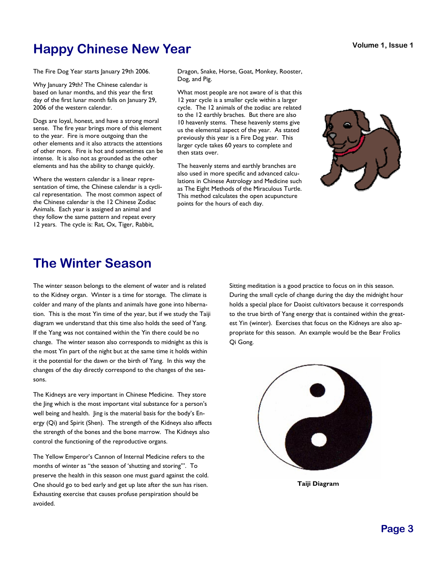# **Happy Chinese New Year**

The Fire Dog Year starts January 29th 2006.

Why January 29th? The Chinese calendar is based on lunar months, and this year the first day of the first lunar month falls on January 29, 2006 of the western calendar.

Dogs are loyal, honest, and have a strong moral sense. The fire year brings more of this element to the year. Fire is more outgoing than the other elements and it also attracts the attentions of other more. Fire is hot and sometimes can be intense. It is also not as grounded as the other elements and has the ability to change quickly.

Where the western calendar is a linear representation of time, the Chinese calendar is a cyclical representation. The most common aspect of the Chinese calendar is the 12 Chinese Zodiac Animals. Each year is assigned an animal and they follow the same pattern and repeat every 12 years. The cycle is: Rat, Ox, Tiger, Rabbit,

Dragon, Snake, Horse, Goat, Monkey, Rooster, Dog, and Pig.

What most people are not aware of is that this 12 year cycle is a smaller cycle within a larger cycle. The 12 animals of the zodiac are related to the 12 earthly braches. But there are also 10 heavenly stems. These heavenly stems give us the elemental aspect of the year. As stated previously this year is a Fire Dog year. This larger cycle takes 60 years to complete and then stats over.

The heavenly stems and earthly branches are also used in more specific and advanced calculations in Chinese Astrology and Medicine such as The Eight Methods of the Miraculous Turtle. This method calculates the open acupuncture points for the hours of each day.



# **The Winter Season**

The winter season belongs to the element of water and is related to the Kidney organ. Winter is a time for storage. The climate is colder and many of the plants and animals have gone into hibernation. This is the most Yin time of the year, but if we study the Taiji diagram we understand that this time also holds the seed of Yang. If the Yang was not contained within the Yin there could be no change. The winter season also corresponds to midnight as this is the most Yin part of the night but at the same time it holds within it the potential for the dawn or the birth of Yang. In this way the changes of the day directly correspond to the changes of the seasons.

The Kidneys are very important in Chinese Medicine. They store the Jing which is the most important vital substance for a person's well being and health. Jing is the material basis for the body's Energy (Qi) and Spirit (Shen). The strength of the Kidneys also affects the strength of the bones and the bone marrow. The Kidneys also control the functioning of the reproductive organs.

The Yellow Emperor's Cannon of Internal Medicine refers to the months of winter as "the season of 'shutting and storing'". To preserve the health in this season one must guard against the cold. One should go to bed early and get up late after the sun has risen. Exhausting exercise that causes profuse perspiration should be avoided.

Sitting meditation is a good practice to focus on in this season. During the small cycle of change during the day the midnight hour holds a special place for Daoist cultivators because it corresponds to the true birth of Yang energy that is contained within the greatest Yin (winter). Exercises that focus on the Kidneys are also appropriate for this season. An example would be the Bear Frolics Qi Gong.



**Taiji Diagram**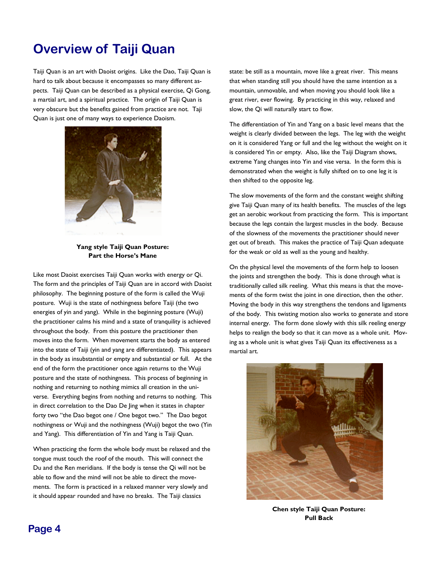# **Overview of Taiji Quan**

Taiji Quan is an art with Daoist origins. Like the Dao, Taiji Quan is hard to talk about because it encompasses so many different aspects. Taiji Quan can be described as a physical exercise, Qi Gong, a martial art, and a spiritual practice. The origin of Taiji Quan is very obscure but the benefits gained from practice are not. Taji Quan is just one of many ways to experience Daoism.



#### **Yang style Taiji Quan Posture: Part the Horse's Mane**

Like most Daoist exercises Taiji Quan works with energy or Qi. The form and the principles of Taiji Quan are in accord with Daoist philosophy. The beginning posture of the form is called the Wuji posture. Wuji is the state of nothingness before Taiji (the two energies of yin and yang). While in the beginning posture (Wuji) the practitioner calms his mind and a state of tranquility is achieved throughout the body. From this posture the practitioner then moves into the form. When movement starts the body as entered into the state of Taiji (yin and yang are differentiated). This appears in the body as insubstantial or empty and substantial or full. At the end of the form the practitioner once again returns to the Wuji posture and the state of nothingness. This process of beginning in nothing and returning to nothing mimics all creation in the universe. Everything begins from nothing and returns to nothing. This in direct correlation to the Dao De Jing when it states in chapter forty two "the Dao begot one / One begot two." The Dao begot nothingness or Wuji and the nothingness (Wuji) begot the two (Yin and Yang). This differentiation of Yin and Yang is Taiji Quan.

When practicing the form the whole body must be relaxed and the tongue must touch the roof of the mouth. This will connect the Du and the Ren meridians. If the body is tense the Qi will not be able to flow and the mind will not be able to direct the movements. The form is practiced in a relaxed manner very slowly and it should appear rounded and have no breaks. The Taiji classics

state: be still as a mountain, move like a great river. This means that when standing still you should have the same intention as a mountain, unmovable, and when moving you should look like a great river, ever flowing. By practicing in this way, relaxed and slow, the Qi will naturally start to flow.

The differentiation of Yin and Yang on a basic level means that the weight is clearly divided between the legs. The leg with the weight on it is considered Yang or full and the leg without the weight on it is considered Yin or empty. Also, like the Taiji Diagram shows, extreme Yang changes into Yin and vise versa. In the form this is demonstrated when the weight is fully shifted on to one leg it is then shifted to the opposite leg.

The slow movements of the form and the constant weight shifting give Taiji Quan many of its health benefits. The muscles of the legs get an aerobic workout from practicing the form. This is important because the legs contain the largest muscles in the body. Because of the slowness of the movements the practitioner should never get out of breath. This makes the practice of Taiji Quan adequate for the weak or old as well as the young and healthy.

On the physical level the movements of the form help to loosen the joints and strengthen the body. This is done through what is traditionally called silk reeling. What this means is that the movements of the form twist the joint in one direction, then the other. Moving the body in this way strengthens the tendons and ligaments of the body. This twisting motion also works to generate and store internal energy. The form done slowly with this silk reeling energy helps to realign the body so that it can move as a whole unit. Moving as a whole unit is what gives Taiji Quan its effectiveness as a martial art.



**Chen style Taiji Quan Posture: Pull Back**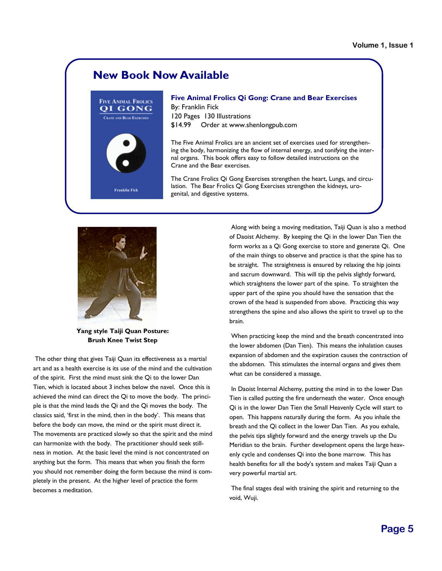## **New Book Now Available**



**Five Animal Frolics Qi Gong: Crane and Bear Exercises**  By: Franklin Fick 120 Pages 130 Illustrations \$14.99 Order at www.shenlongpub.com

The Five Animal Frolics are an ancient set of exercises used for strengthening the body, harmonizing the flow of internal energy, and tonifying the internal organs. This book offers easy to follow detailed instructions on the Crane and the Bear exercises.

The Crane Frolics Qi Gong Exercises strengthen the heart, Lungs, and circulation. The Bear Frolics Qi Gong Exercises strengthen the kidneys, urogenital, and digestive systems.



**Yang style Taiji Quan Posture: Brush Knee Twist Step** 

 The other thing that gives Taiji Quan its effectiveness as a martial art and as a health exercise is its use of the mind and the cultivation of the spirit. First the mind must sink the Qi to the lower Dan Tien, which is located about 3 inches below the navel. Once this is achieved the mind can direct the Qi to move the body. The principle is that the mind leads the Qi and the Qi moves the body. The classics said, 'first in the mind, then in the body'. This means that before the body can move, the mind or the spirit must direct it. The movements are practiced slowly so that the spirit and the mind can harmonize with the body. The practitioner should seek stillness in motion. At the basic level the mind is not concentrated on anything but the form. This means that when you finish the form you should not remember doing the form because the mind is completely in the present. At the higher level of practice the form becomes a meditation.

 Along with being a moving meditation, Taiji Quan is also a method of Daoist Alchemy. By keeping the Qi in the lower Dan Tien the form works as a Qi Gong exercise to store and generate Qi. One of the main things to observe and practice is that the spine has to be straight. The straightness is ensured by relaxing the hip joints and sacrum downward. This will tip the pelvis slightly forward, which straightens the lower part of the spine. To straighten the upper part of the spine you should have the sensation that the crown of the head is suspended from above. Practicing this way strengthens the spine and also allows the spirit to travel up to the brain.

 When practicing keep the mind and the breath concentrated into the lower abdomen (Dan Tien). This means the inhalation causes expansion of abdomen and the expiration causes the contraction of the abdomen. This stimulates the internal organs and gives them what can be considered a massage.

 In Daoist Internal Alchemy, putting the mind in to the lower Dan Tien is called putting the fire underneath the water. Once enough Qi is in the lower Dan Tien the Small Heavenly Cycle will start to open. This happens naturally during the form. As you inhale the breath and the Qi collect in the lower Dan Tien. As you exhale, the pelvis tips slightly forward and the energy travels up the Du Meridian to the brain. Further development opens the large heavenly cycle and condenses Qi into the bone marrow. This has health benefits for all the body's system and makes Taiji Quan a very powerful martial art.

 The final stages deal with training the spirit and returning to the void, Wuji.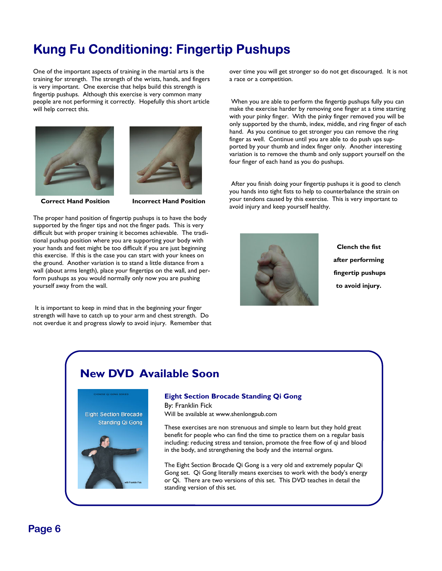# **Kung Fu Conditioning: Fingertip Pushups**

One of the important aspects of training in the martial arts is the training for strength. The strength of the wrists, hands, and fingers is very important. One exercise that helps build this strength is fingertip pushups. Although this exercise is very common many people are not performing it correctly. Hopefully this short article will help correct this.





**Correct Hand Position Figure 1 Incorrect Hand Position** 

The proper hand position of fingertip pushups is to have the body supported by the finger tips and not the finger pads. This is very difficult but with proper training it becomes achievable. The traditional pushup position where you are supporting your body with your hands and feet might be too difficult if you are just beginning this exercise. If this is the case you can start with your knees on the ground. Another variation is to stand a little distance from a wall (about arms length), place your fingertips on the wall, and perform pushups as you would normally only now you are pushing yourself away from the wall.

 It is important to keep in mind that in the beginning your finger strength will have to catch up to your arm and chest strength. Do not overdue it and progress slowly to avoid injury. Remember that over time you will get stronger so do not get discouraged. It is not a race or a competition.

 When you are able to perform the fingertip pushups fully you can make the exercise harder by removing one finger at a time starting with your pinky finger. With the pinky finger removed you will be only supported by the thumb, index, middle, and ring finger of each hand. As you continue to get stronger you can remove the ring finger as well. Continue until you are able to do push ups supported by your thumb and index finger only. Another interesting variation is to remove the thumb and only support yourself on the four finger of each hand as you do pushups.

 After you finish doing your fingertip pushups it is good to clench you hands into tight fists to help to counterbalance the strain on your tendons caused by this exercise. This is very important to avoid injury and keep yourself healthy.



**Clench the fist after performing fingertip pushups to avoid injury.** 

## **New DVD Available Soon**



#### **Eight Section Brocade Standing Qi Gong**  By: Franklin Fick

Will be available at www.shenlongpub.com

These exercises are non strenuous and simple to learn but they hold great benefit for people who can find the time to practice them on a regular basis including: reducing stress and tension, promote the free flow of qi and blood in the body, and strengthening the body and the internal organs.

The Eight Section Brocade Qi Gong is a very old and extremely popular Qi Gong set. Qi Gong literally means exercises to work with the body's energy or Qi. There are two versions of this set. This DVD teaches in detail the standing version of this set.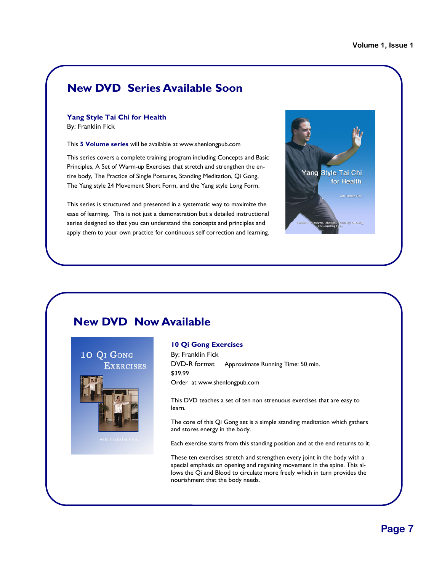## **New DVD Series Available Soon**

#### **Yang Style Tai Chi for Health**  By: Franklin Fick

This **5 Volume series** will be available at www.shenlongpub.com

This series covers a complete training program including Concepts and Basic Principles, A Set of Warm-up Exercises that stretch and strengthen the entire body, The Practice of Single Postures, Standing Meditation, Qi Gong, The Yang style 24 Movement Short Form, and the Yang style Long Form.

This series is structured and presented in a systematic way to maximize the ease of learning**.** This is not just a demonstration but a detailed instructional series designed so that you can understand the concepts and principles and apply them to your own practice for continuous self correction and learning.



## **New DVD Now Available**



#### **10 Qi Gong Exercises**

By: Franklin Fick DVD-R format Approximate Running Time: 50 min. \$39.99 Order at www.shenlongpub.com

This DVD teaches a set of ten non strenuous exercises that are easy to learn.

The core of this Qi Gong set is a simple standing meditation which gathers and stores energy in the body.

Each exercise starts from this standing position and at the end returns to it.

These ten exercises stretch and strengthen every joint in the body with a special emphasis on opening and regaining movement in the spine. This allows the Qi and Blood to circulate more freely which in turn provides the nourishment that the body needs.